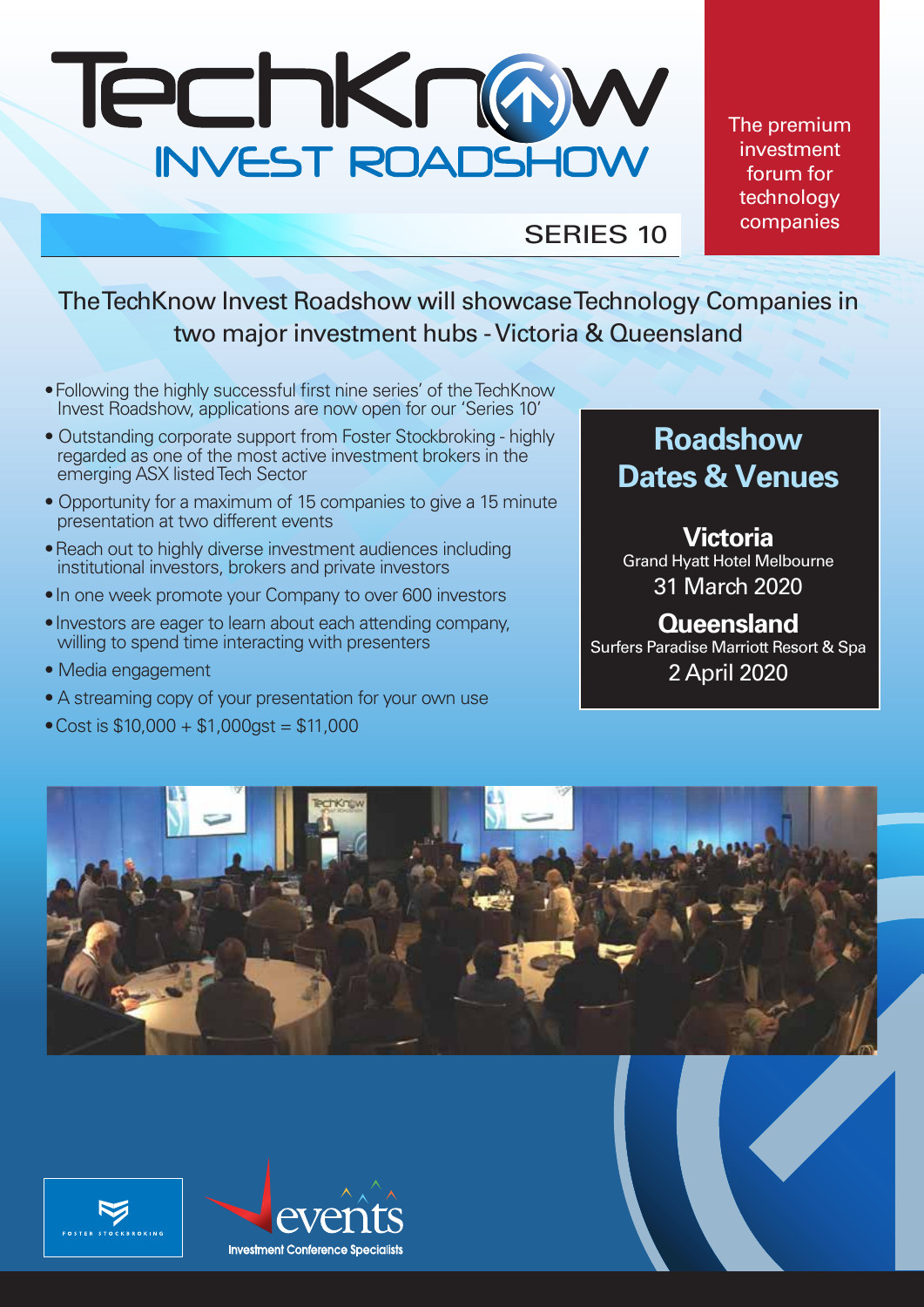

The premium investment forum for technology companies

SERIES 10

The TechKnow Invest Roadshow will showcase Technology Companies in two major investment hubs - Victoria & Queensland

- Following the highly successful first nine series' of the TechKnow Invest Roadshow, applications are now open for our 'Series 10'
- Outstanding corporate support from Foster Stockbroking highly regarded as one of the most active investment brokers in the emerging ASX listed Tech Sector
- Opportunity for a maximum of 15 companies to give a 15 minute presentation at two different events
- Reach out to highly diverse investment audiences including institutional investors, brokers and private investors
- In one week promote your Company to over 600 investors
- Investors are eager to learn about each attending company, willing to spend time interacting with presenters
- Media engagement
- A streaming copy of your presentation for your own use
- Cost is  $$10,000 + $1,000$ gst =  $$11,000$

# **Roadshow Dates & Venues**

## **Victoria** Grand Hyatt Hotel Melbourne

31 March 2020

# **Queensland**

Surfers Paradise Marriott Resort & Spa 2 April 2020